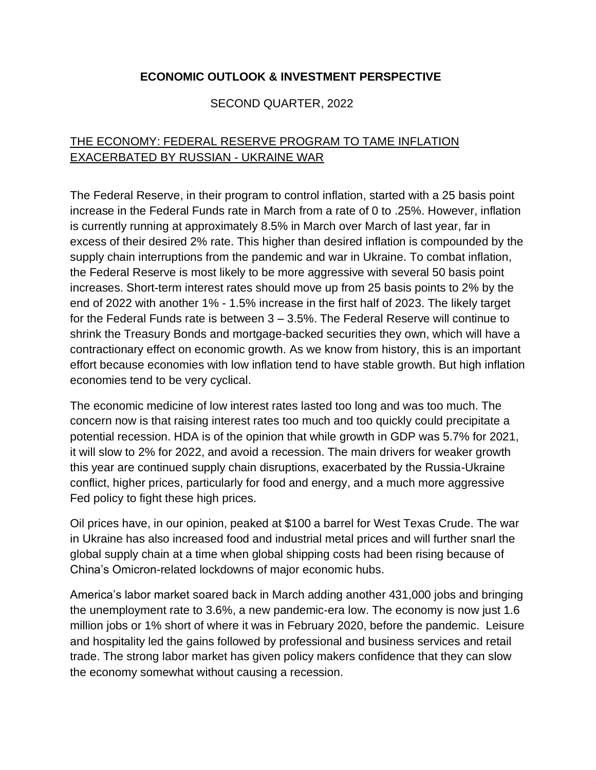### **ECONOMIC OUTLOOK & INVESTMENT PERSPECTIVE**

#### SECOND QUARTER, 2022

## THE ECONOMY: FEDERAL RESERVE PROGRAM TO TAME INFLATION EXACERBATED BY RUSSIAN - UKRAINE WAR

The Federal Reserve, in their program to control inflation, started with a 25 basis point increase in the Federal Funds rate in March from a rate of 0 to .25%. However, inflation is currently running at approximately 8.5% in March over March of last year, far in excess of their desired 2% rate. This higher than desired inflation is compounded by the supply chain interruptions from the pandemic and war in Ukraine. To combat inflation, the Federal Reserve is most likely to be more aggressive with several 50 basis point increases. Short-term interest rates should move up from 25 basis points to 2% by the end of 2022 with another 1% - 1.5% increase in the first half of 2023. The likely target for the Federal Funds rate is between 3 – 3.5%. The Federal Reserve will continue to shrink the Treasury Bonds and mortgage-backed securities they own, which will have a contractionary effect on economic growth. As we know from history, this is an important effort because economies with low inflation tend to have stable growth. But high inflation economies tend to be very cyclical.

The economic medicine of low interest rates lasted too long and was too much. The concern now is that raising interest rates too much and too quickly could precipitate a potential recession. HDA is of the opinion that while growth in GDP was 5.7% for 2021, it will slow to 2% for 2022, and avoid a recession. The main drivers for weaker growth this year are continued supply chain disruptions, exacerbated by the Russia-Ukraine conflict, higher prices, particularly for food and energy, and a much more aggressive Fed policy to fight these high prices.

Oil prices have, in our opinion, peaked at \$100 a barrel for West Texas Crude. The war in Ukraine has also increased food and industrial metal prices and will further snarl the global supply chain at a time when global shipping costs had been rising because of China's Omicron-related lockdowns of major economic hubs.

America's labor market soared back in March adding another 431,000 jobs and bringing the unemployment rate to 3.6%, a new pandemic-era low. The economy is now just 1.6 million jobs or 1% short of where it was in February 2020, before the pandemic. Leisure and hospitality led the gains followed by professional and business services and retail trade. The strong labor market has given policy makers confidence that they can slow the economy somewhat without causing a recession.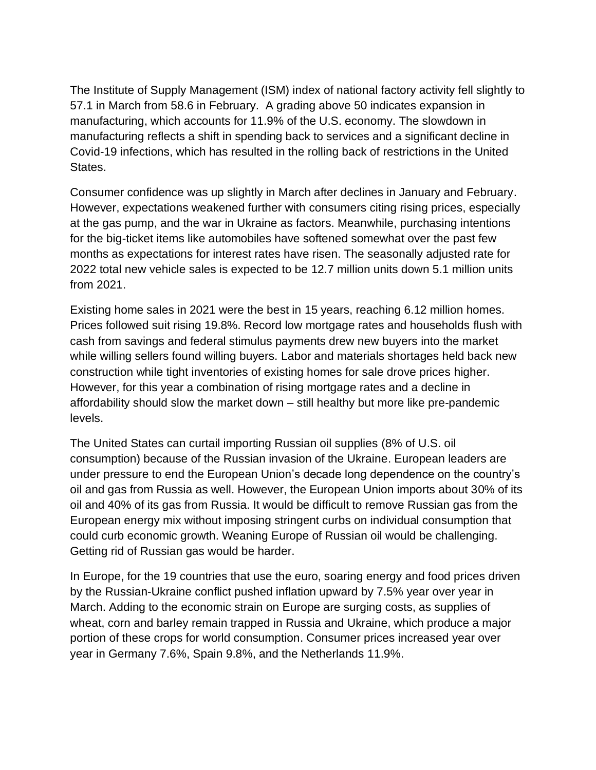The Institute of Supply Management (ISM) index of national factory activity fell slightly to 57.1 in March from 58.6 in February. A grading above 50 indicates expansion in manufacturing, which accounts for 11.9% of the U.S. economy. The slowdown in manufacturing reflects a shift in spending back to services and a significant decline in Covid-19 infections, which has resulted in the rolling back of restrictions in the United States.

Consumer confidence was up slightly in March after declines in January and February. However, expectations weakened further with consumers citing rising prices, especially at the gas pump, and the war in Ukraine as factors. Meanwhile, purchasing intentions for the big-ticket items like automobiles have softened somewhat over the past few months as expectations for interest rates have risen. The seasonally adjusted rate for 2022 total new vehicle sales is expected to be 12.7 million units down 5.1 million units from 2021.

Existing home sales in 2021 were the best in 15 years, reaching 6.12 million homes. Prices followed suit rising 19.8%. Record low mortgage rates and households flush with cash from savings and federal stimulus payments drew new buyers into the market while willing sellers found willing buyers. Labor and materials shortages held back new construction while tight inventories of existing homes for sale drove prices higher. However, for this year a combination of rising mortgage rates and a decline in affordability should slow the market down – still healthy but more like pre-pandemic levels.

The United States can curtail importing Russian oil supplies (8% of U.S. oil consumption) because of the Russian invasion of the Ukraine. European leaders are under pressure to end the European Union's decade long dependence on the country's oil and gas from Russia as well. However, the European Union imports about 30% of its oil and 40% of its gas from Russia. It would be difficult to remove Russian gas from the European energy mix without imposing stringent curbs on individual consumption that could curb economic growth. Weaning Europe of Russian oil would be challenging. Getting rid of Russian gas would be harder.

In Europe, for the 19 countries that use the euro, soaring energy and food prices driven by the Russian-Ukraine conflict pushed inflation upward by 7.5% year over year in March. Adding to the economic strain on Europe are surging costs, as supplies of wheat, corn and barley remain trapped in Russia and Ukraine, which produce a major portion of these crops for world consumption. Consumer prices increased year over year in Germany 7.6%, Spain 9.8%, and the Netherlands 11.9%.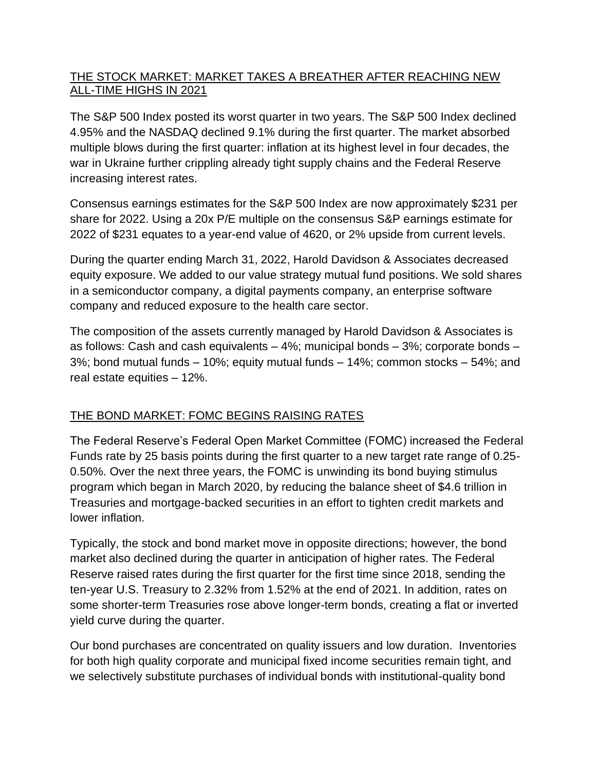#### THE STOCK MARKET: MARKET TAKES A BREATHER AFTER REACHING NEW ALL-TIME HIGHS IN 2021

The S&P 500 Index posted its worst quarter in two years. The S&P 500 Index declined 4.95% and the NASDAQ declined 9.1% during the first quarter. The market absorbed multiple blows during the first quarter: inflation at its highest level in four decades, the war in Ukraine further crippling already tight supply chains and the Federal Reserve increasing interest rates.

Consensus earnings estimates for the S&P 500 Index are now approximately \$231 per share for 2022. Using a 20x P/E multiple on the consensus S&P earnings estimate for 2022 of \$231 equates to a year-end value of 4620, or 2% upside from current levels.

During the quarter ending March 31, 2022, Harold Davidson & Associates decreased equity exposure. We added to our value strategy mutual fund positions. We sold shares in a semiconductor company, a digital payments company, an enterprise software company and reduced exposure to the health care sector.

The composition of the assets currently managed by Harold Davidson & Associates is as follows: Cash and cash equivalents – 4%; municipal bonds – 3%; corporate bonds – 3%; bond mutual funds – 10%; equity mutual funds – 14%; common stocks – 54%; and real estate equities – 12%.

### THE BOND MARKET: FOMC BEGINS RAISING RATES

The Federal Reserve's Federal Open Market Committee (FOMC) increased the Federal Funds rate by 25 basis points during the first quarter to a new target rate range of 0.25- 0.50%. Over the next three years, the FOMC is unwinding its bond buying stimulus program which began in March 2020, by reducing the balance sheet of \$4.6 trillion in Treasuries and mortgage-backed securities in an effort to tighten credit markets and lower inflation.

Typically, the stock and bond market move in opposite directions; however, the bond market also declined during the quarter in anticipation of higher rates. The Federal Reserve raised rates during the first quarter for the first time since 2018, sending the ten-year U.S. Treasury to 2.32% from 1.52% at the end of 2021. In addition, rates on some shorter-term Treasuries rose above longer-term bonds, creating a flat or inverted yield curve during the quarter.

Our bond purchases are concentrated on quality issuers and low duration. Inventories for both high quality corporate and municipal fixed income securities remain tight, and we selectively substitute purchases of individual bonds with institutional-quality bond